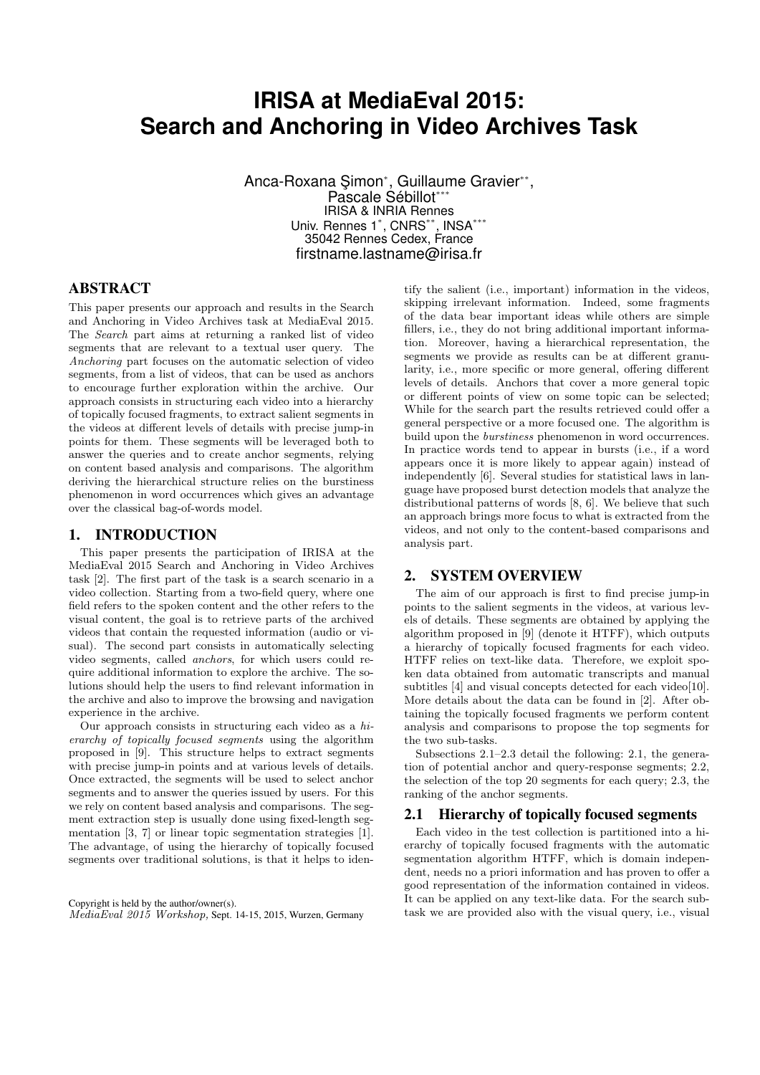# **IRISA at MediaEval 2015: Search and Anchoring in Video Archives Task**

Anca-Roxana Şimon\*, Guillaume Gravier\*\*, Pascale Sébillot\*\*\* IRISA & INRIA Rennes Univ. Rennes 1\* , CNRS\*\*, INSA\*\*\* 35042 Rennes Cedex, France firstname.lastname@irisa.fr

## ABSTRACT

This paper presents our approach and results in the Search and Anchoring in Video Archives task at MediaEval 2015. The Search part aims at returning a ranked list of video segments that are relevant to a textual user query. The Anchoring part focuses on the automatic selection of video segments, from a list of videos, that can be used as anchors to encourage further exploration within the archive. Our approach consists in structuring each video into a hierarchy of topically focused fragments, to extract salient segments in the videos at different levels of details with precise jump-in points for them. These segments will be leveraged both to answer the queries and to create anchor segments, relying on content based analysis and comparisons. The algorithm deriving the hierarchical structure relies on the burstiness phenomenon in word occurrences which gives an advantage over the classical bag-of-words model.

#### 1. INTRODUCTION

This paper presents the participation of IRISA at the MediaEval 2015 Search and Anchoring in Video Archives task [2]. The first part of the task is a search scenario in a video collection. Starting from a two-field query, where one field refers to the spoken content and the other refers to the visual content, the goal is to retrieve parts of the archived videos that contain the requested information (audio or visual). The second part consists in automatically selecting video segments, called anchors, for which users could require additional information to explore the archive. The solutions should help the users to find relevant information in the archive and also to improve the browsing and navigation experience in the archive.

Our approach consists in structuring each video as a hierarchy of topically focused segments using the algorithm proposed in [9]. This structure helps to extract segments with precise jump-in points and at various levels of details. Once extracted, the segments will be used to select anchor segments and to answer the queries issued by users. For this we rely on content based analysis and comparisons. The segment extraction step is usually done using fixed-length segmentation [3, 7] or linear topic segmentation strategies [1]. The advantage, of using the hierarchy of topically focused segments over traditional solutions, is that it helps to iden-

Copyright is held by the author/owner(s). MediaEval 2015 Workshop, Sept. 14-15, 2015, Wurzen, Germany tify the salient (i.e., important) information in the videos, skipping irrelevant information. Indeed, some fragments of the data bear important ideas while others are simple fillers, i.e., they do not bring additional important information. Moreover, having a hierarchical representation, the segments we provide as results can be at different granularity, i.e., more specific or more general, offering different levels of details. Anchors that cover a more general topic or different points of view on some topic can be selected; While for the search part the results retrieved could offer a general perspective or a more focused one. The algorithm is build upon the burstiness phenomenon in word occurrences. In practice words tend to appear in bursts (i.e., if a word appears once it is more likely to appear again) instead of independently [6]. Several studies for statistical laws in language have proposed burst detection models that analyze the distributional patterns of words [8, 6]. We believe that such an approach brings more focus to what is extracted from the videos, and not only to the content-based comparisons and analysis part.

#### 2. SYSTEM OVERVIEW

The aim of our approach is first to find precise jump-in points to the salient segments in the videos, at various levels of details. These segments are obtained by applying the algorithm proposed in [9] (denote it HTFF), which outputs a hierarchy of topically focused fragments for each video. HTFF relies on text-like data. Therefore, we exploit spoken data obtained from automatic transcripts and manual subtitles [4] and visual concepts detected for each video[10]. More details about the data can be found in [2]. After obtaining the topically focused fragments we perform content analysis and comparisons to propose the top segments for the two sub-tasks.

Subsections 2.1–2.3 detail the following: 2.1, the generation of potential anchor and query-response segments; 2.2, the selection of the top 20 segments for each query; 2.3, the ranking of the anchor segments.

#### 2.1 Hierarchy of topically focused segments

Each video in the test collection is partitioned into a hierarchy of topically focused fragments with the automatic segmentation algorithm HTFF, which is domain independent, needs no a priori information and has proven to offer a good representation of the information contained in videos. It can be applied on any text-like data. For the search subtask we are provided also with the visual query, i.e., visual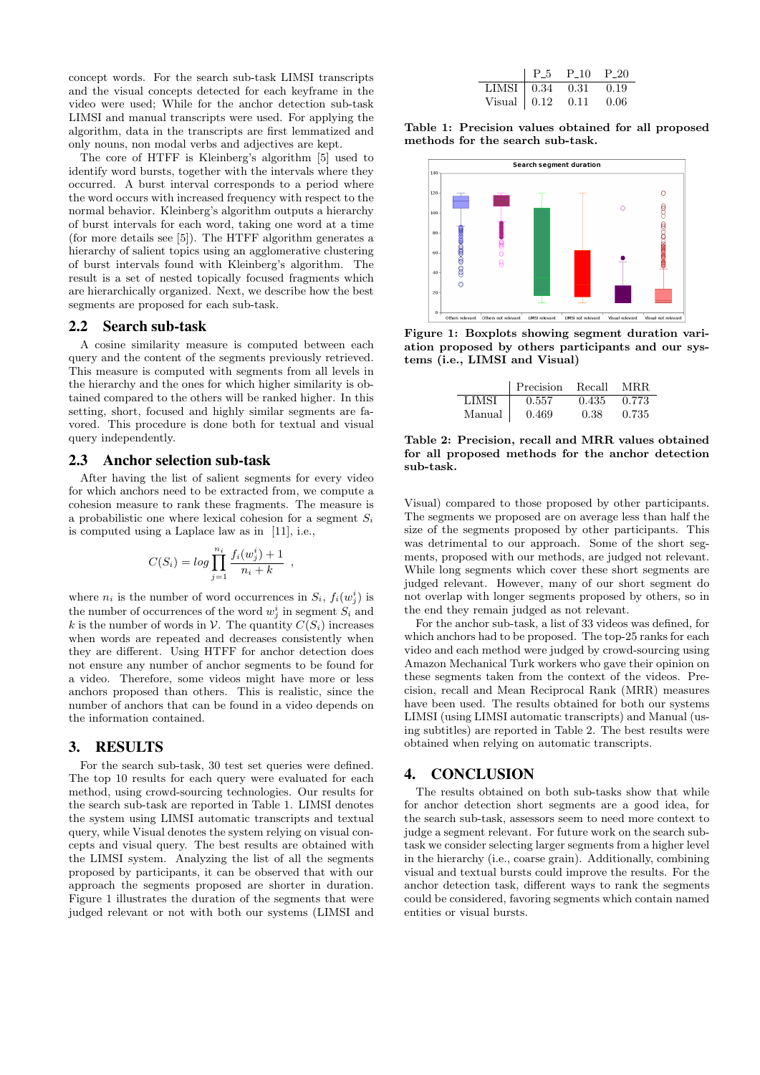concept words. For the search sub-task LIMSI transcripts and the visual concepts detected for each keyframe in the video were used; While for the anchor detection sub-task LIMSI and manual transcripts were used. For applying the algorithm, data in the transcripts are first lemmatized and only nouns, non modal verbs and adjectives are kept.

The core of HTFF is Kleinberg's algorithm [5] used to identify word bursts, together with the intervals where they occurred. A burst interval corresponds to a period where the word occurs with increased frequency with respect to the normal behavior. Kleinberg's algorithm outputs a hierarchy of burst intervals for each word, taking one word at a time (for more details see [5]). The HTFF algorithm generates a hierarchy of salient topics using an agglomerative clustering of burst intervals found with Kleinberg's algorithm. The result is a set of nested topically focused fragments which are hierarchically organized. Next, we describe how the best segments are proposed for each sub-task.

#### 2.2 Search sub-task

A cosine similarity measure is computed between each query and the content of the segments previously retrieved. This measure is computed with segments from all levels in the hierarchy and the ones for which higher similarity is obtained compared to the others will be ranked higher. In this setting, short, focused and highly similar segments are favored. This procedure is done both for textual and visual query independently.

#### 2.3 Anchor selection sub-task

After having the list of salient segments for every video for which anchors need to be extracted from, we compute a cohesion measure to rank these fragments. The measure is a probabilistic one where lexical cohesion for a segment  $S_i$ is computed using a Laplace law as in [11], i.e.,

$$
C(S_i) = \log \prod_{j=1}^{n_i} \frac{f_i(w_j^i) + 1}{n_i + k} ,
$$

where  $n_i$  is the number of word occurrences in  $S_i$ ,  $f_i(w_j^i)$  is the number of occurrences of the word  $w_j^i$  in segment  $S_i$  and k is the number of words in V. The quantity  $C(S_i)$  increases when words are repeated and decreases consistently when they are different. Using HTFF for anchor detection does not ensure any number of anchor segments to be found for a video. Therefore, some videos might have more or less anchors proposed than others. This is realistic, since the number of anchors that can be found in a video depends on the information contained.

#### 3. RESULTS

For the search sub-task, 30 test set queries were defined. The top 10 results for each query were evaluated for each method, using crowd-sourcing technologies. Our results for the search sub-task are reported in Table 1. LIMSI denotes the system using LIMSI automatic transcripts and textual query, while Visual denotes the system relying on visual concepts and visual query. The best results are obtained with the LIMSI system. Analyzing the list of all the segments proposed by participants, it can be observed that with our approach the segments proposed are shorter in duration. Figure 1 illustrates the duration of the segments that were judged relevant or not with both our systems (LIMSI and

|                                                | $P_{-5}$ $P_{-10}$ $P_{-20}$ |  |
|------------------------------------------------|------------------------------|--|
| LIMSI $\vert 0.34 \quad 0.31 \quad 0.19 \vert$ |                              |  |
| Visual $\vert 0.12 \quad 0.11 \quad 0.06$      |                              |  |

Table 1: Precision values obtained for all proposed methods for the search sub-task.



Figure 1: Boxplots showing segment duration variation proposed by others participants and our systems (i.e., LIMSI and Visual)

|        | Precision | Recall | MR.R. |
|--------|-----------|--------|-------|
| LIMSI  | 0.557     | 0.435  | 0.773 |
| Manual | 0.469     | 0.38   | 0.735 |

Table 2: Precision, recall and MRR values obtained for all proposed methods for the anchor detection sub-task.

Visual) compared to those proposed by other participants. The segments we proposed are on average less than half the size of the segments proposed by other participants. This was detrimental to our approach. Some of the short segments, proposed with our methods, are judged not relevant. While long segments which cover these short segments are judged relevant. However, many of our short segment do not overlap with longer segments proposed by others, so in the end they remain judged as not relevant.

For the anchor sub-task, a list of 33 videos was defined, for which anchors had to be proposed. The top-25 ranks for each video and each method were judged by crowd-sourcing using Amazon Mechanical Turk workers who gave their opinion on these segments taken from the context of the videos. Precision, recall and Mean Reciprocal Rank (MRR) measures have been used. The results obtained for both our systems LIMSI (using LIMSI automatic transcripts) and Manual (using subtitles) are reported in Table 2. The best results were obtained when relying on automatic transcripts.

### 4. CONCLUSION

The results obtained on both sub-tasks show that while for anchor detection short segments are a good idea, for the search sub-task, assessors seem to need more context to judge a segment relevant. For future work on the search subtask we consider selecting larger segments from a higher level in the hierarchy (i.e., coarse grain). Additionally, combining visual and textual bursts could improve the results. For the anchor detection task, different ways to rank the segments could be considered, favoring segments which contain named entities or visual bursts.